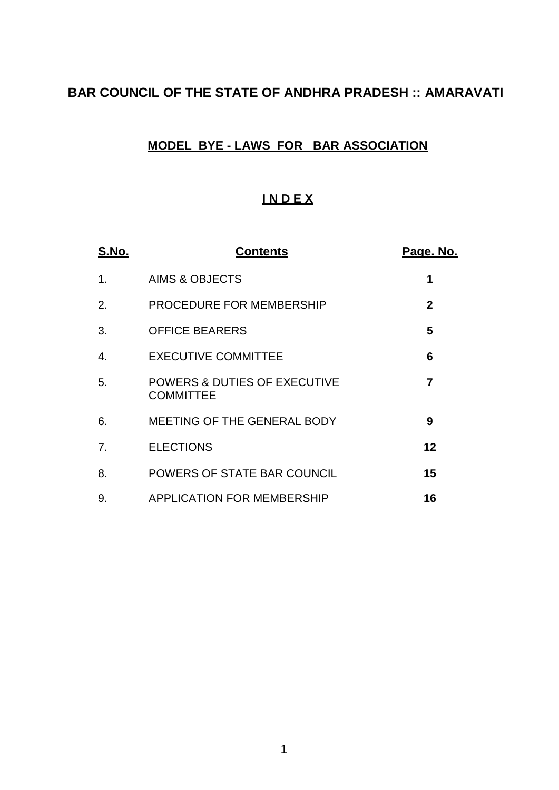# **BAR COUNCIL OF THE STATE OF ANDHRA PRADESH :: AMARAVATI**

## **MODEL BYE - LAWS FOR BAR ASSOCIATION**

## **I N D E X**

| <u>S.No.</u> | <u>Contents</u>                                  | <u>Page. No.</u>  |
|--------------|--------------------------------------------------|-------------------|
| 1.           | <b>AIMS &amp; OBJECTS</b>                        | 1                 |
| 2.           | PROCEDURE FOR MEMBERSHIP                         | $\mathbf{2}$      |
| 3.           | <b>OFFICE BEARERS</b>                            | 5                 |
| 4.           | <b>EXECUTIVE COMMITTEE</b>                       | 6                 |
| 5.           | POWERS & DUTIES OF EXECUTIVE<br><b>COMMITTEE</b> | 7                 |
| 6.           | MEETING OF THE GENERAL BODY                      | 9                 |
| 7.           | <b>ELECTIONS</b>                                 | $12 \overline{ }$ |
| 8.           | POWERS OF STATE BAR COUNCIL                      | 15                |
| 9.           | <b>APPLICATION FOR MEMBERSHIP</b>                | 16                |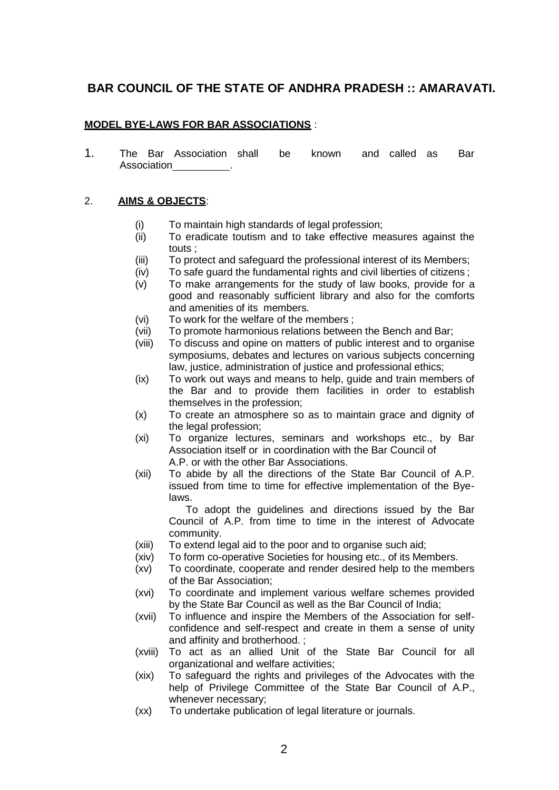## **BAR COUNCIL OF THE STATE OF ANDHRA PRADESH :: AMARAVATI.**

## **MODEL BYE-LAWS FOR BAR ASSOCIATIONS** :

1. The Bar Association shall be known and called as Bar Association .

#### 2. **AIMS & OBJECTS**:

- (i) To maintain high standards of legal profession;<br>(ii) To eradicate toutism and to take effective me
- To eradicate toutism and to take effective measures against the touts ;
- (iii) To protect and safeguard the professional interest of its Members;
- (iv) To safe guard the fundamental rights and civil liberties of citizens ;
- (v) To make arrangements for the study of law books, provide for a good and reasonably sufficient library and also for the comforts and amenities of its members.
- (vi) To work for the welfare of the members ;
- (vii) To promote harmonious relations between the Bench and Bar;
- (viii) To discuss and opine on matters of public interest and to organise symposiums, debates and lectures on various subjects concerning law, justice, administration of justice and professional ethics;
- (ix) To work out ways and means to help, guide and train members of the Bar and to provide them facilities in order to establish themselves in the profession;
- (x) To create an atmosphere so as to maintain grace and dignity of the legal profession;
- (xi) To organize lectures, seminars and workshops etc., by Bar Association itself or in coordination with the Bar Council of A.P. or with the other Bar Associations.
- (xii) To abide by all the directions of the State Bar Council of A.P. issued from time to time for effective implementation of the Byelaws.

To adopt the guidelines and directions issued by the Bar Council of A.P. from time to time in the interest of Advocate community.

- (xiii) To extend legal aid to the poor and to organise such aid;
- (xiv) To form co-operative Societies for housing etc., of its Members.
- (xv) To coordinate, cooperate and render desired help to the members of the Bar Association;
- (xvi) To coordinate and implement various welfare schemes provided by the State Bar Council as well as the Bar Council of India;
- (xvii) To influence and inspire the Members of the Association for selfconfidence and self-respect and create in them a sense of unity and affinity and brotherhood. ;
- (xviii) To act as an allied Unit of the State Bar Council for all organizational and welfare activities;
- (xix) To safeguard the rights and privileges of the Advocates with the help of Privilege Committee of the State Bar Council of A.P., whenever necessary;
- (xx) To undertake publication of legal literature or journals.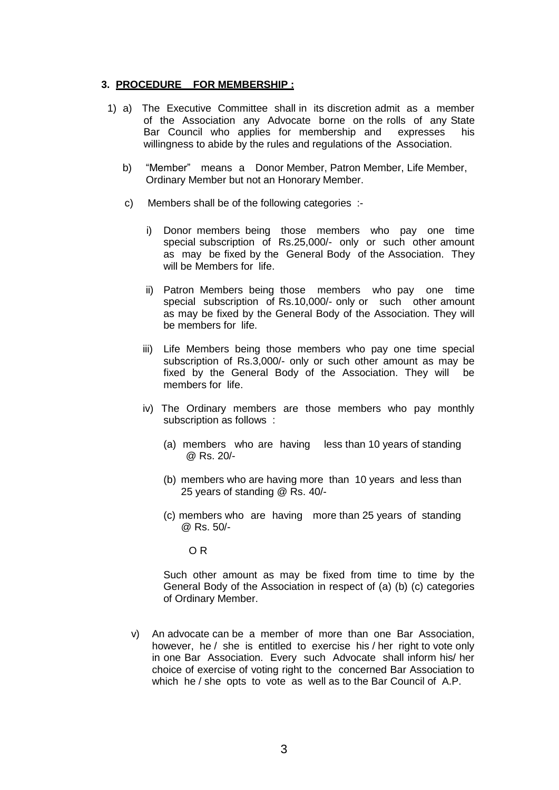#### **3. PROCEDURE FOR MEMBERSHIP :**

- 1) a) The Executive Committee shall in its discretion admit as a member of the Association any Advocate borne on the rolls of any State Bar Council who applies for membership and expresses his willingness to abide by the rules and regulations of the Association.
	- b) "Member" means a Donor Member, Patron Member, Life Member, Ordinary Member but not an Honorary Member.
	- c) Members shall be of the following categories :
		- i) Donor members being those members who pay one time special subscription of Rs.25,000/- only or such other amount as may be fixed by the General Body of the Association. They will be Members for life.
		- ii) Patron Members being those members who pay one time special subscription of Rs.10,000/- only or such other amount as may be fixed by the General Body of the Association. They will be members for life.
		- iii) Life Members being those members who pay one time special subscription of Rs.3,000/- only or such other amount as may be fixed by the General Body of the Association. They will be members for life.
		- iv) The Ordinary members are those members who pay monthly subscription as follows :
			- (a) members who are having less than 10 years of standing @ Rs. 20/-
			- (b) members who are having more than 10 years and less than 25 years of standing @ Rs. 40/-
			- (c) members who are having more than 25 years of standing @ Rs. 50/-

O R

Such other amount as may be fixed from time to time by the General Body of the Association in respect of (a) (b) (c) categories of Ordinary Member.

v) An advocate can be a member of more than one Bar Association, however, he / she is entitled to exercise his / her right to vote only in one Bar Association. Every such Advocate shall inform his/ her choice of exercise of voting right to the concerned Bar Association to which he / she opts to vote as well as to the Bar Council of A.P.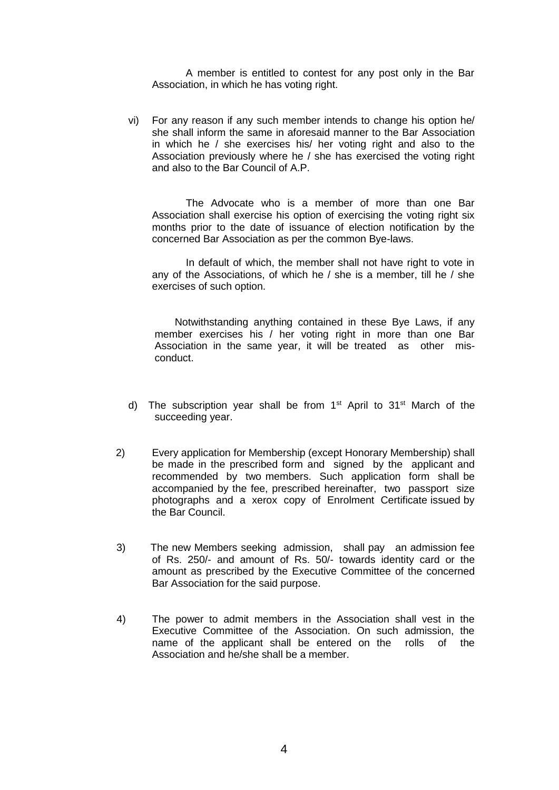A member is entitled to contest for any post only in the Bar Association, in which he has voting right.

vi) For any reason if any such member intends to change his option he/ she shall inform the same in aforesaid manner to the Bar Association in which he / she exercises his/ her voting right and also to the Association previously where he / she has exercised the voting right and also to the Bar Council of A.P.

The Advocate who is a member of more than one Bar Association shall exercise his option of exercising the voting right six months prior to the date of issuance of election notification by the concerned Bar Association as per the common Bye-laws.

In default of which, the member shall not have right to vote in any of the Associations, of which he / she is a member, till he / she exercises of such option.

Notwithstanding anything contained in these Bye Laws, if any member exercises his / her voting right in more than one Bar Association in the same year, it will be treated as other misconduct.

- d) The subscription year shall be from 1<sup>st</sup> April to 31<sup>st</sup> March of the succeeding year.
- 2) Every application for Membership (except Honorary Membership) shall be made in the prescribed form and signed by the applicant and recommended by two members. Such application form shall be accompanied by the fee, prescribed hereinafter, two passport size photographs and a xerox copy of Enrolment Certificate issued by the Bar Council.
- 3) The new Members seeking admission, shall pay an admission fee of Rs. 250/- and amount of Rs. 50/- towards identity card or the amount as prescribed by the Executive Committee of the concerned Bar Association for the said purpose.
- 4) The power to admit members in the Association shall vest in the Executive Committee of the Association. On such admission, the name of the applicant shall be entered on the rolls of the Association and he/she shall be a member.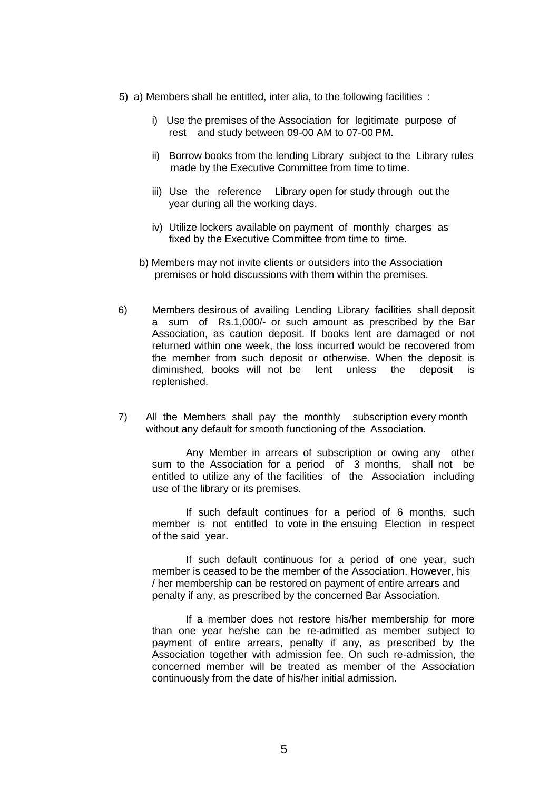- 5) a) Members shall be entitled, inter alia, to the following facilities :
	- i) Use the premises of the Association for legitimate purpose of rest and study between 09-00 AM to 07-00 PM.
	- ii) Borrow books from the lending Library subject to the Library rules made by the Executive Committee from time to time.
	- iii) Use the reference Library open for study through out the year during all the working days.
	- iv) Utilize lockers available on payment of monthly charges as fixed by the Executive Committee from time to time.
	- b) Members may not invite clients or outsiders into the Association premises or hold discussions with them within the premises.
- 6) Members desirous of availing Lending Library facilities shall deposit a sum of Rs.1,000/- or such amount as prescribed by the Bar Association, as caution deposit. If books lent are damaged or not returned within one week, the loss incurred would be recovered from the member from such deposit or otherwise. When the deposit is diminished, books will not be lent unless the deposit is replenished.
- 7) All the Members shall pay the monthly subscription every month without any default for smooth functioning of the Association.

Any Member in arrears of subscription or owing any other sum to the Association for a period of 3 months, shall not be entitled to utilize any of the facilities of the Association including use of the library or its premises.

If such default continues for a period of 6 months, such member is not entitled to vote in the ensuing Election in respect of the said year.

If such default continuous for a period of one year, such member is ceased to be the member of the Association. However, his / her membership can be restored on payment of entire arrears and penalty if any, as prescribed by the concerned Bar Association.

If a member does not restore his/her membership for more than one year he/she can be re-admitted as member subject to payment of entire arrears, penalty if any, as prescribed by the Association together with admission fee. On such re-admission, the concerned member will be treated as member of the Association continuously from the date of his/her initial admission.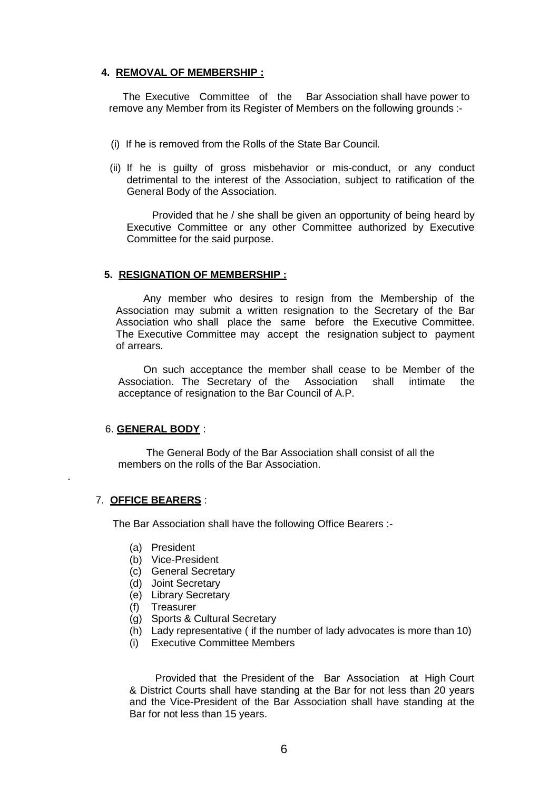## **4. REMOVAL OF MEMBERSHIP :**

The Executive Committee of the Bar Association shall have power to remove any Member from its Register of Members on the following grounds :-

- (i) If he is removed from the Rolls of the State Bar Council.
- (ii) If he is guilty of gross misbehavior or mis-conduct, or any conduct detrimental to the interest of the Association, subject to ratification of the General Body of the Association.

Provided that he / she shall be given an opportunity of being heard by Executive Committee or any other Committee authorized by Executive Committee for the said purpose.

#### **5. RESIGNATION OF MEMBERSHIP :**

Any member who desires to resign from the Membership of the Association may submit a written resignation to the Secretary of the Bar Association who shall place the same before the Executive Committee. The Executive Committee may accept the resignation subject to payment of arrears.

On such acceptance the member shall cease to be Member of the Association. The Secretary of the Association shall intimate the acceptance of resignation to the Bar Council of A.P.

## 6. **GENERAL BODY** :

The General Body of the Bar Association shall consist of all the members on the rolls of the Bar Association.

## 7. **OFFICE BEARERS** :

.

The Bar Association shall have the following Office Bearers :-

- (a) President
- (b) Vice-President
- (c) General Secretary
- (d) Joint Secretary
- (e) Library Secretary
- (f) Treasurer
- (g) Sports & Cultural Secretary
- (h) Lady representative ( if the number of lady advocates is more than 10)
- (i) Executive Committee Members

Provided that the President of the Bar Association at High Court & District Courts shall have standing at the Bar for not less than 20 years and the Vice-President of the Bar Association shall have standing at the Bar for not less than 15 years.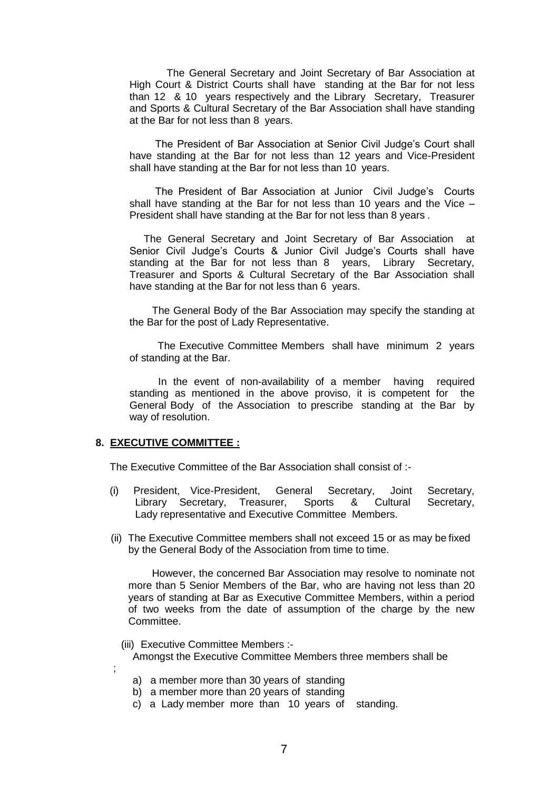The General Secretary and Joint Secretary of Bar Association at High Court & District Courts shall have standing at the Bar for not less than 12 & 10 years respectively and the Library Secretary, Treasurer and Sports & Cultural Secretary of the Bar Association shall have standing at the Bar for not less than 8 years.

The President of Bar Association at Senior Civil Judge's Court shall have standing at the Bar for not less than 12 years and Vice-President shall have standing at the Bar for not less than 10 years.

The President of Bar Association at Junior Civil Judge's Courts shall have standing at the Bar for not less than 10 years and the Vice – President shall have standing at the Bar for not less than 8 years .

The General Secretary and Joint Secretary of Bar Association at Senior Civil Judge's Courts & Junior Civil Judge's Courts shall have standing at the Bar for not less than 8 years, Library Secretary, Treasurer and Sports & Cultural Secretary of the Bar Association shall have standing at the Bar for not less than 6 years.

The General Body of the Bar Association may specify the standing at the Bar for the post of Lady Representative.

The Executive Committee Members shall have minimum 2 years of standing at the Bar.

In the event of non-availability of a member having required standing as mentioned in the above proviso, it is competent for the General Body of the Association to prescribe standing at the Bar by way of resolution.

#### **8. EXECUTIVE COMMITTEE :**

;

The Executive Committee of the Bar Association shall consist of :-

- (i) President, Vice-President, General Secretary, Joint Secretary, Library Secretary, Treasurer, Sports & Cultural Secretary, Lady representative and Executive Committee Members.
- (ii) The Executive Committee members shall not exceed 15 or as may be fixed by the General Body of the Association from time to time.

However, the concerned Bar Association may resolve to nominate not more than 5 Senior Members of the Bar, who are having not less than 20 years of standing at Bar as Executive Committee Members, within a period of two weeks from the date of assumption of the charge by the new Committee.

- (iii) Executive Committee Members :- Amongst the Executive Committee Members three members shall be
	- a) a member more than 30 years of standing
	- b) a member more than 20 years of standing
	- c) a Lady member more than 10 years of standing.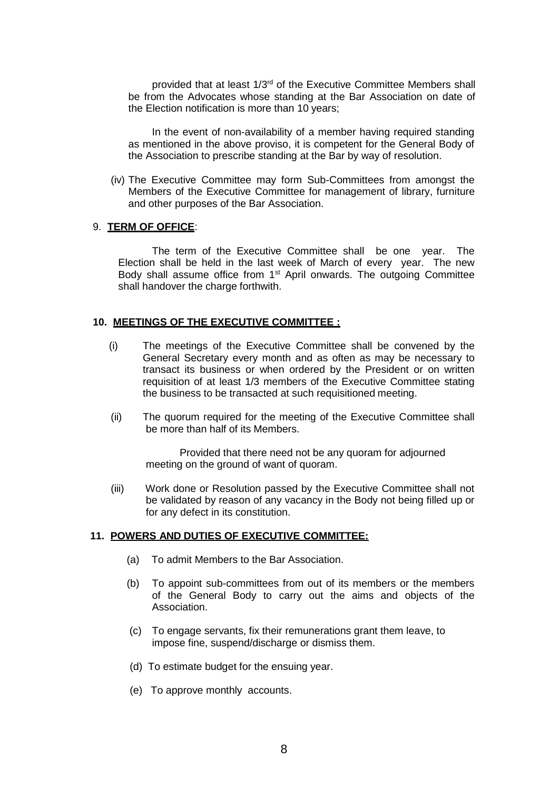provided that at least 1/3rd of the Executive Committee Members shall be from the Advocates whose standing at the Bar Association on date of the Election notification is more than 10 years;

In the event of non-availability of a member having required standing as mentioned in the above proviso, it is competent for the General Body of the Association to prescribe standing at the Bar by way of resolution.

(iv) The Executive Committee may form Sub-Committees from amongst the Members of the Executive Committee for management of library, furniture and other purposes of the Bar Association.

#### 9. **TERM OF OFFICE**:

The term of the Executive Committee shall be one year. The Election shall be held in the last week of March of every year. The new Body shall assume office from 1<sup>st</sup> April onwards. The outgoing Committee shall handover the charge forthwith.

#### **10. MEETINGS OF THE EXECUTIVE COMMITTEE :**

- (i) The meetings of the Executive Committee shall be convened by the General Secretary every month and as often as may be necessary to transact its business or when ordered by the President or on written requisition of at least 1/3 members of the Executive Committee stating the business to be transacted at such requisitioned meeting.
- (ii) The quorum required for the meeting of the Executive Committee shall be more than half of its Members.

Provided that there need not be any quoram for adjourned meeting on the ground of want of quoram.

(iii) Work done or Resolution passed by the Executive Committee shall not be validated by reason of any vacancy in the Body not being filled up or for any defect in its constitution.

#### **11. POWERS AND DUTIES OF EXECUTIVE COMMITTEE:**

- (a) To admit Members to the Bar Association.
- (b) To appoint sub-committees from out of its members or the members of the General Body to carry out the aims and objects of the Association.
- (c) To engage servants, fix their remunerations grant them leave, to impose fine, suspend/discharge or dismiss them.
- (d) To estimate budget for the ensuing year.
- (e) To approve monthly accounts.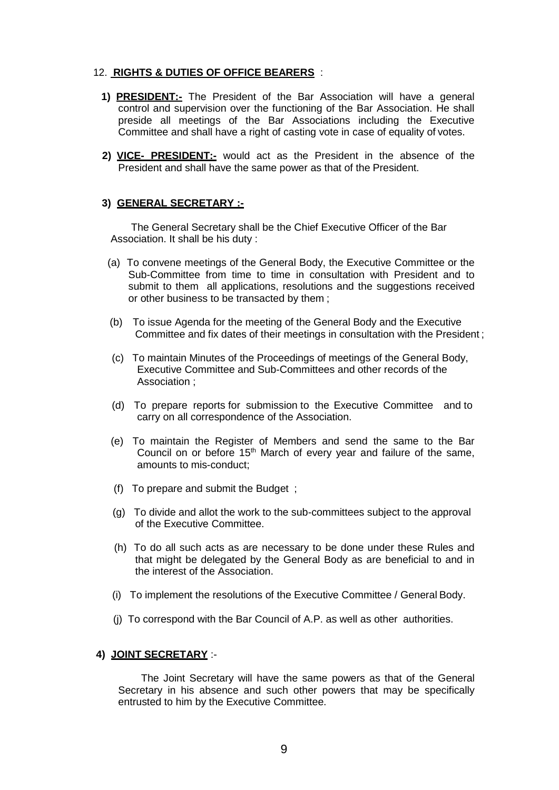#### 12. **RIGHTS & DUTIES OF OFFICE BEARERS** :

- **1) PRESIDENT:-** The President of the Bar Association will have a general control and supervision over the functioning of the Bar Association. He shall preside all meetings of the Bar Associations including the Executive Committee and shall have a right of casting vote in case of equality of votes.
- **2) VICE- PRESIDENT:-** would act as the President in the absence of the President and shall have the same power as that of the President.

#### **3) GENERAL SECRETARY :-**

The General Secretary shall be the Chief Executive Officer of the Bar Association. It shall be his duty :

- (a) To convene meetings of the General Body, the Executive Committee or the Sub-Committee from time to time in consultation with President and to submit to them all applications, resolutions and the suggestions received or other business to be transacted by them ;
- (b) To issue Agenda for the meeting of the General Body and the Executive Committee and fix dates of their meetings in consultation with the President ;
- (c) To maintain Minutes of the Proceedings of meetings of the General Body, Executive Committee and Sub-Committees and other records of the Association ;
- (d) To prepare reports for submission to the Executive Committee and to carry on all correspondence of the Association.
- (e) To maintain the Register of Members and send the same to the Bar Council on or before 15<sup>th</sup> March of every year and failure of the same, amounts to mis-conduct;
- (f) To prepare and submit the Budget ;
- (g) To divide and allot the work to the sub-committees subject to the approval of the Executive Committee.
- (h) To do all such acts as are necessary to be done under these Rules and that might be delegated by the General Body as are beneficial to and in the interest of the Association.
- (i) To implement the resolutions of the Executive Committee / General Body.
- (j) To correspond with the Bar Council of A.P. as well as other authorities.

#### **4) JOINT SECRETARY** :-

The Joint Secretary will have the same powers as that of the General Secretary in his absence and such other powers that may be specifically entrusted to him by the Executive Committee.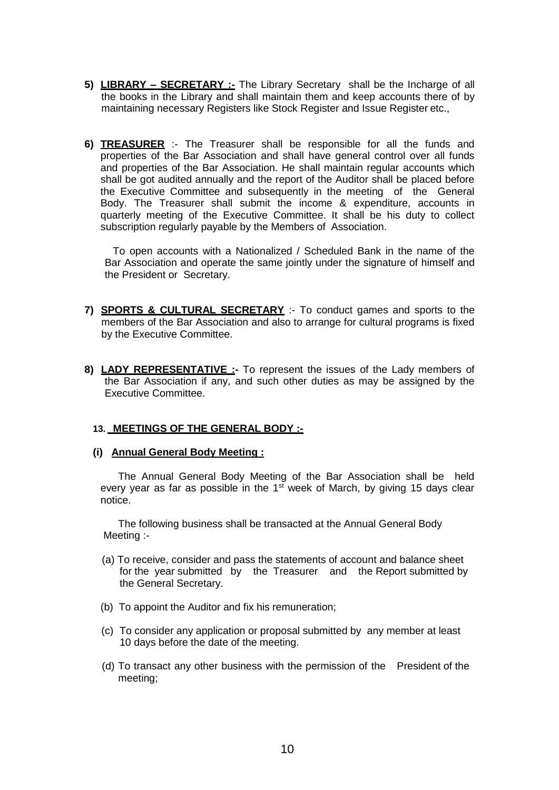- **5) LIBRARY – SECRETARY :-** The Library Secretary shall be the Incharge of all the books in the Library and shall maintain them and keep accounts there of by maintaining necessary Registers like Stock Register and Issue Register etc.,
- **6) TREASURER** :- The Treasurer shall be responsible for all the funds and properties of the Bar Association and shall have general control over all funds and properties of the Bar Association. He shall maintain regular accounts which shall be got audited annually and the report of the Auditor shall be placed before the Executive Committee and subsequently in the meeting of the General Body. The Treasurer shall submit the income & expenditure, accounts in quarterly meeting of the Executive Committee. It shall be his duty to collect subscription regularly payable by the Members of Association.

To open accounts with a Nationalized / Scheduled Bank in the name of the Bar Association and operate the same jointly under the signature of himself and the President or Secretary.

- **7) SPORTS & CULTURAL SECRETARY** :- To conduct games and sports to the members of the Bar Association and also to arrange for cultural programs is fixed by the Executive Committee.
- **8) LADY REPRESENTATIVE :-** To represent the issues of the Lady members of the Bar Association if any, and such other duties as may be assigned by the Executive Committee.

## **13. MEETINGS OF THE GENERAL BODY :-**

#### **(i) Annual General Body Meeting :**

The Annual General Body Meeting of the Bar Association shall be held every year as far as possible in the  $1<sup>st</sup>$  week of March, by giving 15 days clear notice.

The following business shall be transacted at the Annual General Body Meeting :-

- (a) To receive, consider and pass the statements of account and balance sheet for the year submitted by the Treasurer and the Report submitted by the General Secretary.
- (b) To appoint the Auditor and fix his remuneration;
- (c) To consider any application or proposal submitted by any member at least 10 days before the date of the meeting.
- (d) To transact any other business with the permission of the President of the meeting;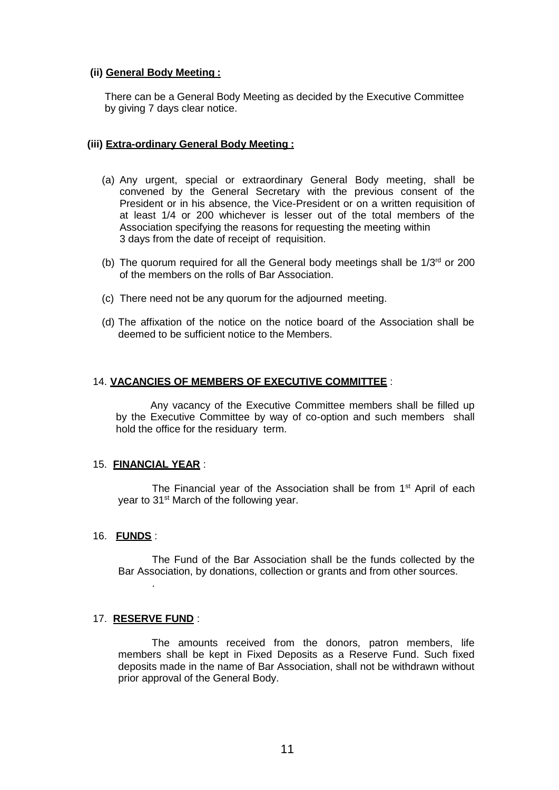#### **(ii) General Body Meeting :**

There can be a General Body Meeting as decided by the Executive Committee by giving 7 days clear notice.

#### **(iii) Extra-ordinary General Body Meeting :**

- (a) Any urgent, special or extraordinary General Body meeting, shall be convened by the General Secretary with the previous consent of the President or in his absence, the Vice-President or on a written requisition of at least 1/4 or 200 whichever is lesser out of the total members of the Association specifying the reasons for requesting the meeting within 3 days from the date of receipt of requisition.
- (b) The quorum required for all the General body meetings shall be  $1/3<sup>rd</sup>$  or 200 of the members on the rolls of Bar Association.
- (c) There need not be any quorum for the adjourned meeting.
- (d) The affixation of the notice on the notice board of the Association shall be deemed to be sufficient notice to the Members.

#### 14. **VACANCIES OF MEMBERS OF EXECUTIVE COMMITTEE** :

Any vacancy of the Executive Committee members shall be filled up by the Executive Committee by way of co-option and such members shall hold the office for the residuary term.

#### 15. **FINANCIAL YEAR** :

The Financial year of the Association shall be from 1<sup>st</sup> April of each year to 31<sup>st</sup> March of the following year.

#### 16. **FUNDS** :

The Fund of the Bar Association shall be the funds collected by the Bar Association, by donations, collection or grants and from other sources.

#### 17. **RESERVE FUND** :

.

The amounts received from the donors, patron members, life members shall be kept in Fixed Deposits as a Reserve Fund. Such fixed deposits made in the name of Bar Association, shall not be withdrawn without prior approval of the General Body.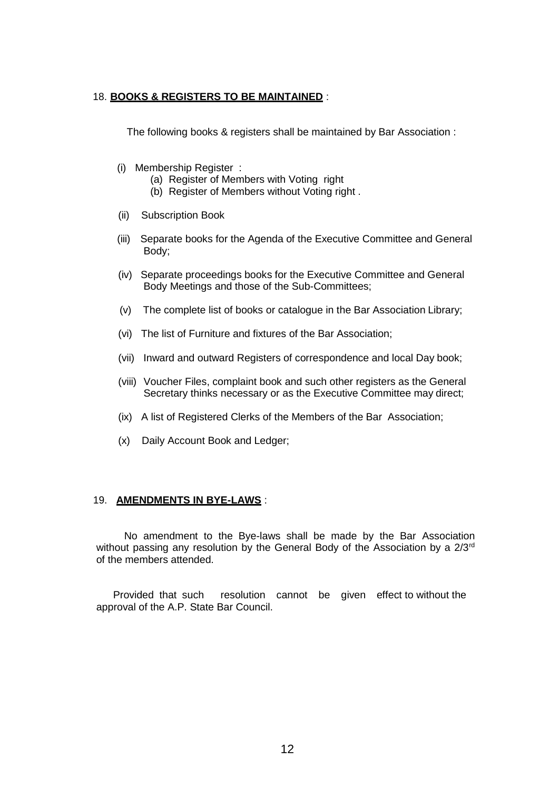#### 18. **BOOKS & REGISTERS TO BE MAINTAINED** :

The following books & registers shall be maintained by Bar Association :

- (i) Membership Register :
	- (a) Register of Members with Voting right
	- (b) Register of Members without Voting right .
- (ii) Subscription Book
- (iii) Separate books for the Agenda of the Executive Committee and General Body;
- (iv) Separate proceedings books for the Executive Committee and General Body Meetings and those of the Sub-Committees;
- (v) The complete list of books or catalogue in the Bar Association Library;
- (vi) The list of Furniture and fixtures of the Bar Association;
- (vii) Inward and outward Registers of correspondence and local Day book;
- (viii) Voucher Files, complaint book and such other registers as the General Secretary thinks necessary or as the Executive Committee may direct;
- (ix) A list of Registered Clerks of the Members of the Bar Association;
- (x) Daily Account Book and Ledger;

#### 19. **AMENDMENTS IN BYE-LAWS** :

No amendment to the Bye-laws shall be made by the Bar Association without passing any resolution by the General Body of the Association by a 2/3<sup>rd</sup> of the members attended.

Provided that such resolution cannot be given effect to without the approval of the A.P. State Bar Council.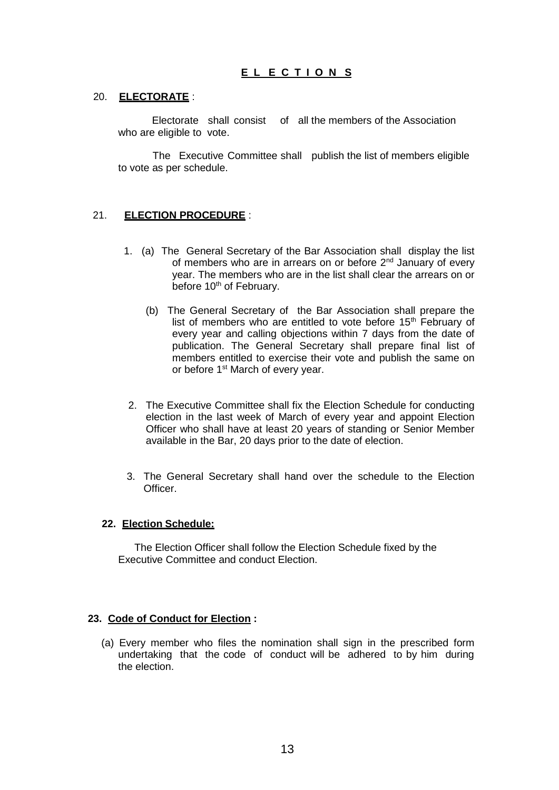## **E L E C T I O N S**

#### 20. **ELECTORATE** :

Electorate shall consist of all the members of the Association who are eligible to vote.

The Executive Committee shall publish the list of members eligible to vote as per schedule.

## 21. **ELECTION PROCEDURE** :

- 1. (a) The General Secretary of the Bar Association shall display the list of members who are in arrears on or before 2<sup>nd</sup> January of every year. The members who are in the list shall clear the arrears on or before 10<sup>th</sup> of February.
	- (b) The General Secretary of the Bar Association shall prepare the list of members who are entitled to vote before 15<sup>th</sup> February of every year and calling objections within 7 days from the date of publication. The General Secretary shall prepare final list of members entitled to exercise their vote and publish the same on or before 1<sup>st</sup> March of every year.
- 2. The Executive Committee shall fix the Election Schedule for conducting election in the last week of March of every year and appoint Election Officer who shall have at least 20 years of standing or Senior Member available in the Bar, 20 days prior to the date of election.
- 3. The General Secretary shall hand over the schedule to the Election Officer.

#### **22. Election Schedule:**

The Election Officer shall follow the Election Schedule fixed by the Executive Committee and conduct Election.

#### **23. Code of Conduct for Election :**

(a) Every member who files the nomination shall sign in the prescribed form undertaking that the code of conduct will be adhered to by him during the election.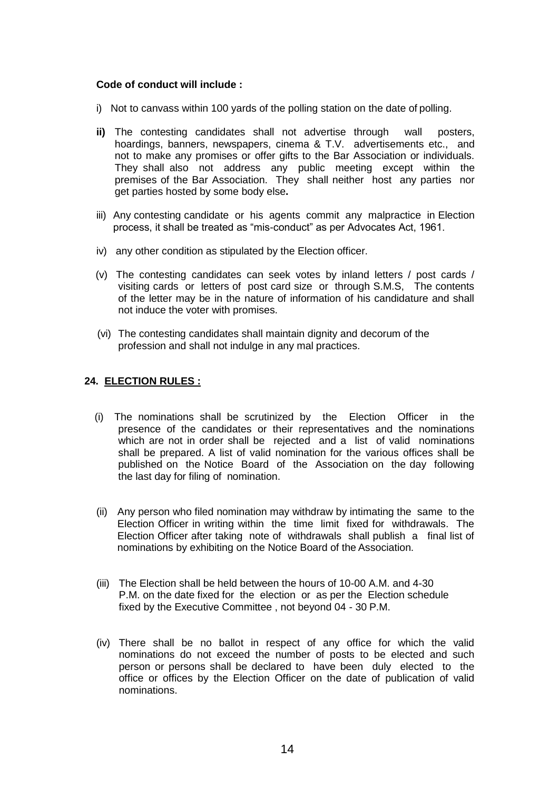## **Code of conduct will include :**

- i) Not to canvass within 100 yards of the polling station on the date of polling.
- **ii)** The contesting candidates shall not advertise through wall posters, hoardings, banners, newspapers, cinema & T.V. advertisements etc., and not to make any promises or offer gifts to the Bar Association or individuals. They shall also not address any public meeting except within the premises of the Bar Association. They shall neither host any parties nor get parties hosted by some body else**.**
- iii) Any contesting candidate or his agents commit any malpractice in Election process, it shall be treated as "mis-conduct" as per Advocates Act, 1961.
- iv) any other condition as stipulated by the Election officer.
- (v) The contesting candidates can seek votes by inland letters / post cards / visiting cards or letters of post card size or through S.M.S, The contents of the letter may be in the nature of information of his candidature and shall not induce the voter with promises.
- (vi) The contesting candidates shall maintain dignity and decorum of the profession and shall not indulge in any mal practices.

## **24. ELECTION RULES :**

- (i) The nominations shall be scrutinized by the Election Officer in the presence of the candidates or their representatives and the nominations which are not in order shall be rejected and a list of valid nominations shall be prepared. A list of valid nomination for the various offices shall be published on the Notice Board of the Association on the day following the last day for filing of nomination.
- (ii) Any person who filed nomination may withdraw by intimating the same to the Election Officer in writing within the time limit fixed for withdrawals. The Election Officer after taking note of withdrawals shall publish a final list of nominations by exhibiting on the Notice Board of the Association.
- (iii) The Election shall be held between the hours of 10-00 A.M. and 4-30 P.M. on the date fixed for the election or as per the Election schedule fixed by the Executive Committee , not beyond 04 - 30 P.M.
- (iv) There shall be no ballot in respect of any office for which the valid nominations do not exceed the number of posts to be elected and such person or persons shall be declared to have been duly elected to the office or offices by the Election Officer on the date of publication of valid nominations.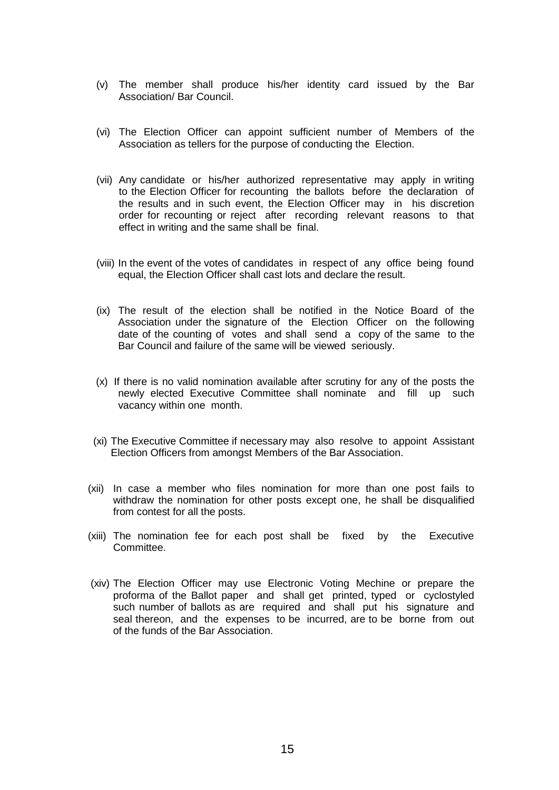- (v) The member shall produce his/her identity card issued by the Bar Association/ Bar Council.
- (vi) The Election Officer can appoint sufficient number of Members of the Association as tellers for the purpose of conducting the Election.
- (vii) Any candidate or his/her authorized representative may apply in writing to the Election Officer for recounting the ballots before the declaration of the results and in such event, the Election Officer may in his discretion order for recounting or reject after recording relevant reasons to that effect in writing and the same shall be final.
- (viii) In the event of the votes of candidates in respect of any office being found equal, the Election Officer shall cast lots and declare the result.
- (ix) The result of the election shall be notified in the Notice Board of the Association under the signature of the Election Officer on the following date of the counting of votes and shall send a copy of the same to the Bar Council and failure of the same will be viewed seriously.
- (x) If there is no valid nomination available after scrutiny for any of the posts the newly elected Executive Committee shall nominate and fill up such vacancy within one month.
- (xi) The Executive Committee if necessary may also resolve to appoint Assistant Election Officers from amongst Members of the Bar Association.
- (xii) In case a member who files nomination for more than one post fails to withdraw the nomination for other posts except one, he shall be disqualified from contest for all the posts.
- (xiii) The nomination fee for each post shall be fixed by the Executive Committee.
- (xiv) The Election Officer may use Electronic Voting Mechine or prepare the proforma of the Ballot paper and shall get printed, typed or cyclostyled such number of ballots as are required and shall put his signature and seal thereon, and the expenses to be incurred, are to be borne from out of the funds of the Bar Association.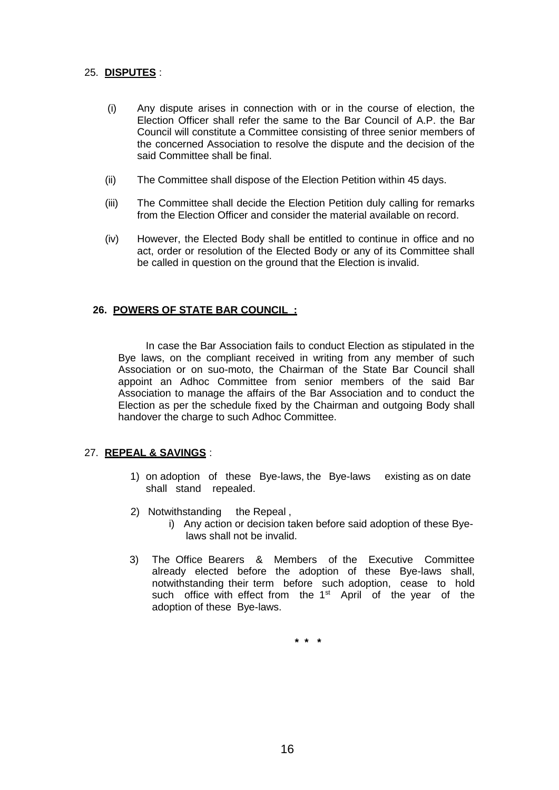## 25. **DISPUTES** :

- (i) Any dispute arises in connection with or in the course of election, the Election Officer shall refer the same to the Bar Council of A.P. the Bar Council will constitute a Committee consisting of three senior members of the concerned Association to resolve the dispute and the decision of the said Committee shall be final.
- (ii) The Committee shall dispose of the Election Petition within 45 days.
- (iii) The Committee shall decide the Election Petition duly calling for remarks from the Election Officer and consider the material available on record.
- (iv) However, the Elected Body shall be entitled to continue in office and no act, order or resolution of the Elected Body or any of its Committee shall be called in question on the ground that the Election is invalid.

## **26. POWERS OF STATE BAR COUNCIL :**

In case the Bar Association fails to conduct Election as stipulated in the Bye laws, on the compliant received in writing from any member of such Association or on suo-moto, the Chairman of the State Bar Council shall appoint an Adhoc Committee from senior members of the said Bar Association to manage the affairs of the Bar Association and to conduct the Election as per the schedule fixed by the Chairman and outgoing Body shall handover the charge to such Adhoc Committee.

## 27. **REPEAL & SAVINGS** :

- 1) on adoption of these Bye-laws, the Bye-laws existing as on date shall stand repealed.
- 2) Notwithstanding the Repeal , i) Any action or decision taken before said adoption of these Byelaws shall not be invalid.
- 3) The Office Bearers & Members of the Executive Committee already elected before the adoption of these Bye-laws shall, notwithstanding their term before such adoption, cease to hold such office with effect from the 1<sup>st</sup> April of the year of the adoption of these Bye-laws.

**\* \* \***